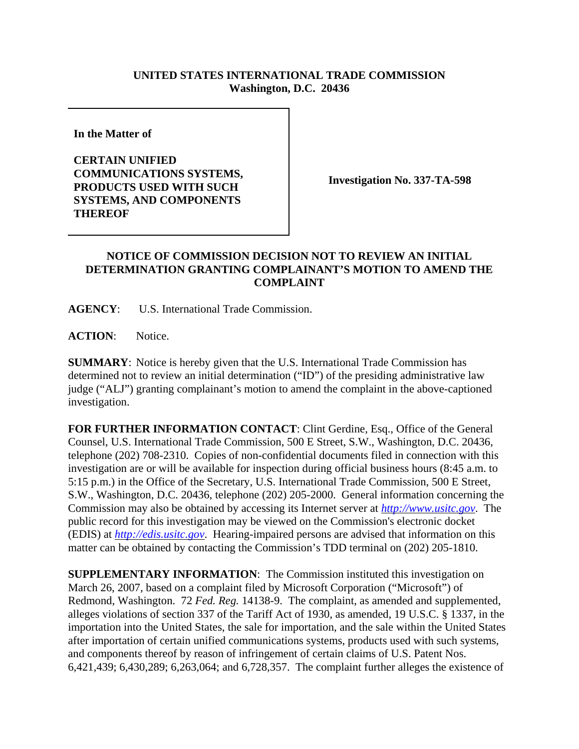## **UNITED STATES INTERNATIONAL TRADE COMMISSION Washington, D.C. 20436**

**In the Matter of** 

**CERTAIN UNIFIED COMMUNICATIONS SYSTEMS, PRODUCTS USED WITH SUCH SYSTEMS, AND COMPONENTS THEREOF**

**Investigation No. 337-TA-598**

## **NOTICE OF COMMISSION DECISION NOT TO REVIEW AN INITIAL DETERMINATION GRANTING COMPLAINANT'S MOTION TO AMEND THE COMPLAINT**

**AGENCY**: U.S. International Trade Commission.

**ACTION**: Notice.

**SUMMARY**: Notice is hereby given that the U.S. International Trade Commission has determined not to review an initial determination ("ID") of the presiding administrative law judge ("ALJ") granting complainant's motion to amend the complaint in the above-captioned investigation.

**FOR FURTHER INFORMATION CONTACT**: Clint Gerdine, Esq., Office of the General Counsel, U.S. International Trade Commission, 500 E Street, S.W., Washington, D.C. 20436, telephone (202) 708-2310. Copies of non-confidential documents filed in connection with this investigation are or will be available for inspection during official business hours (8:45 a.m. to 5:15 p.m.) in the Office of the Secretary, U.S. International Trade Commission, 500 E Street, S.W., Washington, D.C. 20436, telephone (202) 205-2000. General information concerning the Commission may also be obtained by accessing its Internet server at *http://www.usitc.gov*. The public record for this investigation may be viewed on the Commission's electronic docket (EDIS) at *http://edis.usitc.gov*. Hearing-impaired persons are advised that information on this matter can be obtained by contacting the Commission's TDD terminal on (202) 205-1810.

**SUPPLEMENTARY INFORMATION:** The Commission instituted this investigation on March 26, 2007, based on a complaint filed by Microsoft Corporation ("Microsoft") of Redmond, Washington. 72 *Fed. Reg.* 14138-9. The complaint, as amended and supplemented, alleges violations of section 337 of the Tariff Act of 1930, as amended, 19 U.S.C. § 1337, in the importation into the United States, the sale for importation, and the sale within the United States after importation of certain unified communications systems, products used with such systems, and components thereof by reason of infringement of certain claims of U.S. Patent Nos. 6,421,439; 6,430,289; 6,263,064; and 6,728,357. The complaint further alleges the existence of